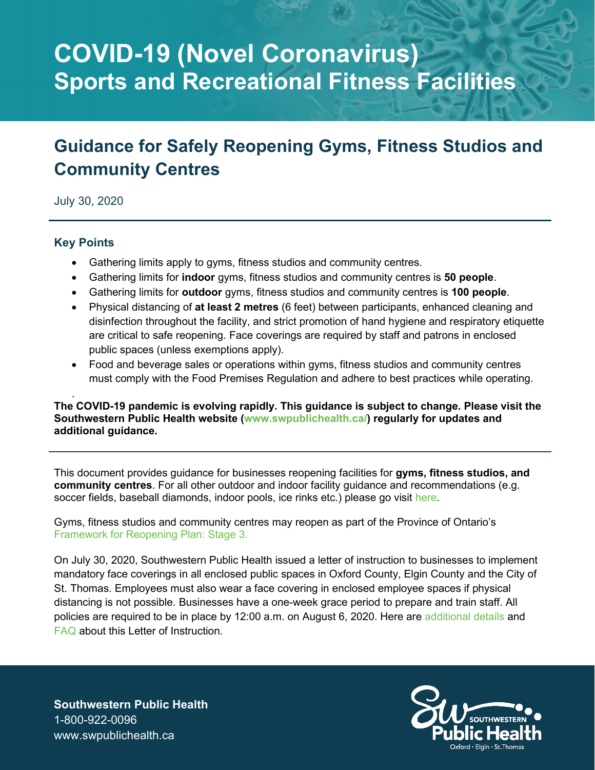### **Guidance for Safely Reopening Gyms, Fitness Studios and Community Centres**

July 30, 2020

#### **Key Points**

- Gathering limits apply to gyms, fitness studios and community centres.
- Gathering limits for **indoor** gyms, fitness studios and community centres is **50 people**.
- Gathering limits for **outdoor** gyms, fitness studios and community centres is **100 people**.
- Physical distancing of **at least 2 metres** (6 feet) between participants, enhanced cleaning and disinfection throughout the facility, and strict promotion of hand hygiene and respiratory etiquette are critical to safe reopening. Face coverings are required by staff and patrons in enclosed public spaces (unless exemptions apply).
- Food and beverage sales or operations within gyms, fitness studios and community centres must comply with the Food Premises Regulation and adhere to best practices while operating.

. **The COVID-19 pandemic is evolving rapidly. This guidance is subject to change. Please visit the Southwestern Public Health website [\(www.swpublichealth.ca/\)](http://www.swpublichealth.ca/) regularly for updates and additional guidance.** 

This document provides guidance for businesses reopening facilities for **gyms, fitness studios, and community centres**. For all other outdoor and indoor facility guidance and recommendations (e.g. soccer fields, baseball diamonds, indoor pools, ice rinks etc.) please go visit [here.](https://www.swpublichealth.ca/sites/default/files/covid-19_sports_and_recreation_checklist.pdf)

Gyms, fitness studios and community centres may reopen as part of the Province of Ontario's [Framework for Reopening Plan: Stage 3.](https://files.ontario.ca/mof-framework-reopening-province-stage-3-en-2020-07-13.pdf)

On July 30, 2020, Southwestern Public Health issued a letter of instruction to businesses to implement mandatory face coverings in all enclosed public spaces in Oxford County, Elgin County and the City of St. Thomas. Employees must also wear a face covering in enclosed employee spaces if physical distancing is not possible. Businesses have a one-week grace period to prepare and train staff. All policies are required to be in place by 12:00 a.m. on August 6, 2020. Here are [additional details](https://www.swpublichealth.ca/sites/default/files/ltr_swph_moh_letter_of_instruction_regarding_face_coverings_-_20200730.pdf) and [FAQ](https://www.swpublichealth.ca/sites/default/files/covid-19_mandatory_face_covering_faq_-_final.pdf) about this Letter of Instruction.

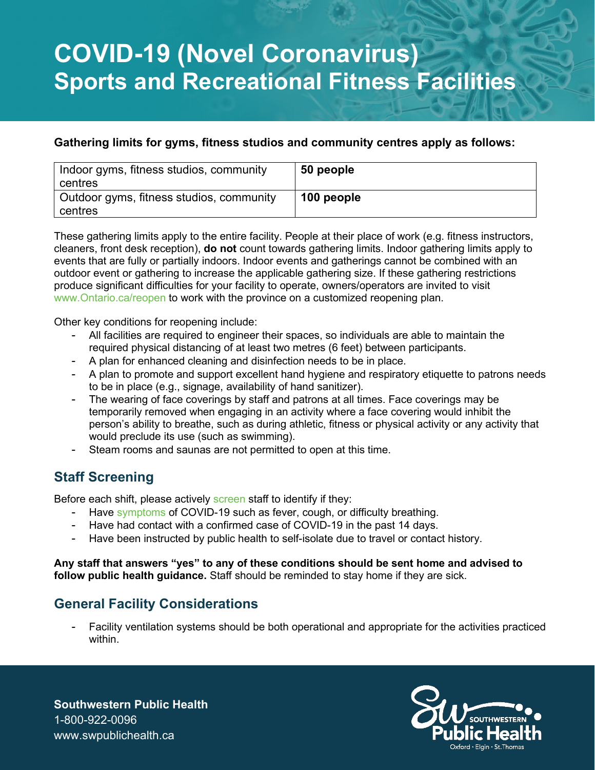#### **Gathering limits for gyms, fitness studios and community centres apply as follows:**

| Indoor gyms, fitness studios, community<br>centres  | 50 people  |
|-----------------------------------------------------|------------|
| Outdoor gyms, fitness studios, community<br>centres | 100 people |

These gathering limits apply to the entire facility. People at their place of work (e.g. fitness instructors, cleaners, front desk reception), **do not** count towards gathering limits. Indoor gathering limits apply to events that are fully or partially indoors. Indoor events and gatherings cannot be combined with an outdoor event or gathering to increase the applicable gathering size. If these gathering restrictions produce significant difficulties for your facility to operate, owners/operators are invited to visit [www.Ontario.ca/reopen](http://www.ontario.ca/reopen) to work with the province on a customized reopening plan.

Other key conditions for reopening include:

- All facilities are required to engineer their spaces, so individuals are able to maintain the required physical distancing of at least two metres (6 feet) between participants.
- A plan for enhanced cleaning and disinfection needs to be in place.
- A plan to promote and support excellent hand hygiene and respiratory etiquette to patrons needs to be in place (e.g., signage, availability of hand sanitizer).
- The wearing of face coverings by staff and patrons at all times. Face coverings may be temporarily removed when engaging in an activity where a face covering would inhibit the person's ability to breathe, such as during athletic, fitness or physical activity or any activity that would preclude its use (such as swimming).
- Steam rooms and saunas are not permitted to open at this time.

### **Staff Screening**

Before each shift, please actively [screen](https://www.canada.ca/en/government/publicservice/covid-19/prevention-preparedness.html) staff to identify if they:

- Have [symptoms](http://www.health.gov.on.ca/en/pro/programs/publichealth/coronavirus/docs/2019_reference_doc_symptoms.pdf) of COVID-19 such as fever, cough, or difficulty breathing.
- Have had contact with a confirmed case of COVID-19 in the past 14 days.
- Have been instructed by public health to self-isolate due to travel or contact history.

**Any staff that answers "yes" to any of these conditions should be sent home and advised to follow public health guidance.** Staff should be reminded to stay home if they are sick.

### **General Facility Considerations**

Facility ventilation systems should be both operational and appropriate for the activities practiced within.

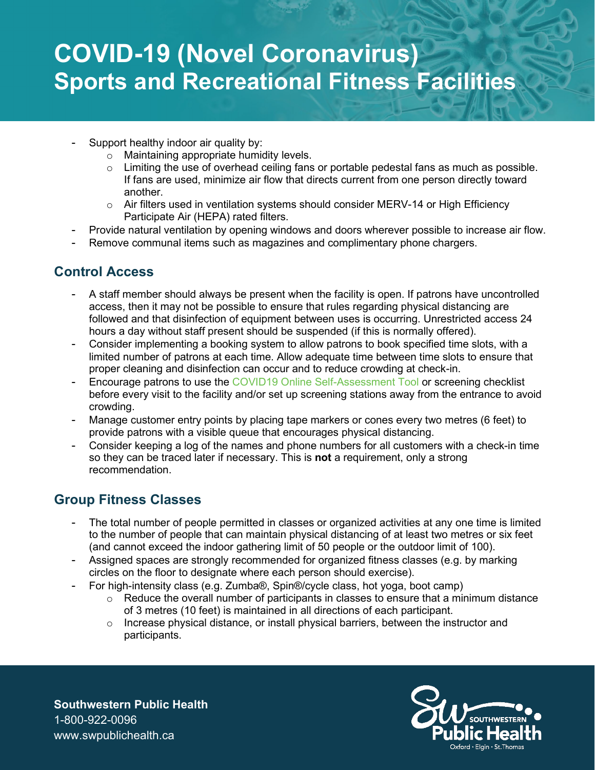- Support healthy indoor air quality by:
	- $\circ$  Maintaining appropriate humidity levels.<br> $\circ$  Limiting the use of overhead ceiling fans
	- Limiting the use of overhead ceiling fans or portable pedestal fans as much as possible. If fans are used, minimize air flow that directs current from one person directly toward another.
	- o Air filters used in ventilation systems should consider MERV-14 or High Efficiency Participate Air (HEPA) rated filters.
- Provide natural ventilation by opening windows and doors wherever possible to increase air flow.
- Remove communal items such as magazines and complimentary phone chargers.

### **Control Access**

- A staff member should always be present when the facility is open. If patrons have uncontrolled access, then it may not be possible to ensure that rules regarding physical distancing are followed and that disinfection of equipment between uses is occurring. Unrestricted access 24 hours a day without staff present should be suspended (if this is normally offered).
- Consider implementing a booking system to allow patrons to book specified time slots, with a limited number of patrons at each time. Allow adequate time between time slots to ensure that proper cleaning and disinfection can occur and to reduce crowding at check-in.
- Encourage patrons to use the [COVID19 Online Self-Assessment Tool](https://covid19checkup.ca/) or screening checklist before every visit to the facility and/or set up screening stations away from the entrance to avoid crowding.
- Manage customer entry points by placing tape markers or cones every two metres (6 feet) to provide patrons with a visible queue that encourages physical distancing.
- Consider keeping a log of the names and phone numbers for all customers with a check-in time so they can be traced later if necessary. This is **not** a requirement, only a strong recommendation.

### **Group Fitness Classes**

- The total number of people permitted in classes or organized activities at any one time is limited to the number of people that can maintain physical distancing of at least two metres or six feet (and cannot exceed the indoor gathering limit of 50 people or the outdoor limit of 100).
- Assigned spaces are strongly recommended for organized fitness classes (e.g. by marking circles on the floor to designate where each person should exercise).
- For high-intensity class (e.g. Zumba®, Spin®/cycle class, hot yoga, boot camp)
	- $\circ$  Reduce the overall number of participants in classes to ensure that a minimum distance of 3 metres (10 feet) is maintained in all directions of each participant.
	- $\circ$  Increase physical distance, or install physical barriers, between the instructor and participants.

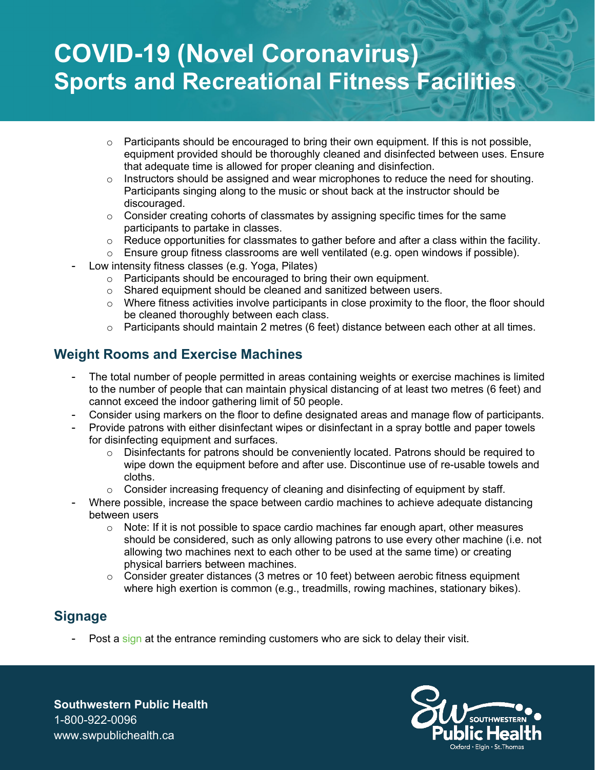- $\circ$  Participants should be encouraged to bring their own equipment. If this is not possible, equipment provided should be thoroughly cleaned and disinfected between uses. Ensure that adequate time is allowed for proper cleaning and disinfection.
- $\circ$  Instructors should be assigned and wear microphones to reduce the need for shouting. Participants singing along to the music or shout back at the instructor should be discouraged.
- $\circ$  Consider creating cohorts of classmates by assigning specific times for the same participants to partake in classes.
- o Reduce opportunities for classmates to gather before and after a class within the facility.
- $\circ$  Ensure group fitness classrooms are well ventilated (e.g. open windows if possible).
- Low intensity fitness classes (e.g. Yoga, Pilates)
	- o Participants should be encouraged to bring their own equipment.
	- o Shared equipment should be cleaned and sanitized between users.
	- $\circ$  Where fitness activities involve participants in close proximity to the floor, the floor should be cleaned thoroughly between each class.
	- $\circ$  Participants should maintain 2 metres (6 feet) distance between each other at all times.

### **Weight Rooms and Exercise Machines**

- The total number of people permitted in areas containing weights or exercise machines is limited to the number of people that can maintain physical distancing of at least two metres (6 feet) and cannot exceed the indoor gathering limit of 50 people.
- Consider using markers on the floor to define designated areas and manage flow of participants.
- Provide patrons with either disinfectant wipes or disinfectant in a spray bottle and paper towels for disinfecting equipment and surfaces.
	- $\circ$  Disinfectants for patrons should be conveniently located. Patrons should be required to wipe down the equipment before and after use. Discontinue use of re-usable towels and cloths.
	- $\circ$  Consider increasing frequency of cleaning and disinfecting of equipment by staff.
- Where possible, increase the space between cardio machines to achieve adequate distancing between users
	- $\circ$  Note: If it is not possible to space cardio machines far enough apart, other measures should be considered, such as only allowing patrons to use every other machine (i.e. not allowing two machines next to each other to be used at the same time) or creating physical barriers between machines.
	- $\circ$  Consider greater distances (3 metres or 10 feet) between aerobic fitness equipment where high exertion is common (e.g., treadmills, rowing machines, stationary bikes).

#### **Signage**

Post a [sign](http://www.health.gov.on.ca/en/pro/programs/publichealth/coronavirus/docs/2019_signs_EN_visitors.pdf) at the entrance reminding customers who are sick to delay their visit.

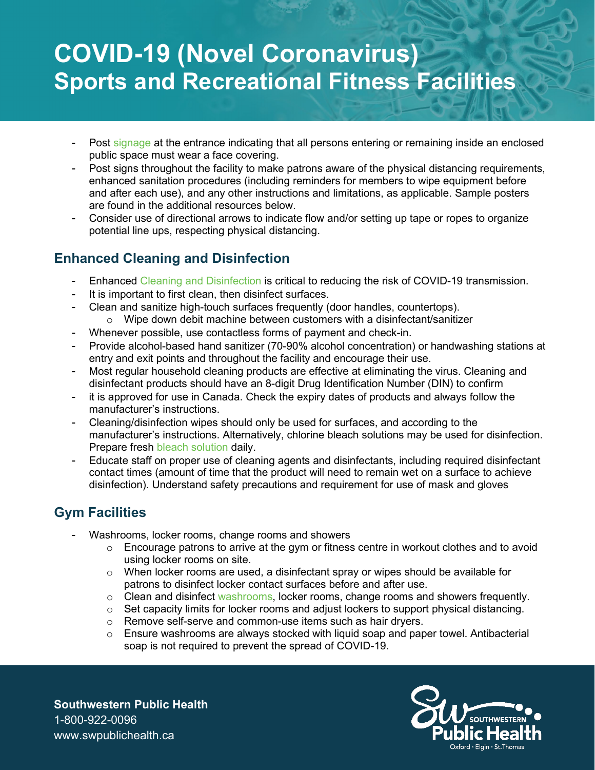- Post [signage](https://www.swpublichealth.ca/sites/default/files/workplace_toolkit_-_entrance_signage.pdf) at the entrance indicating that all persons entering or remaining inside an enclosed public space must wear a face covering.
- Post signs throughout the facility to make patrons aware of the physical distancing requirements, enhanced sanitation procedures (including reminders for members to wipe equipment before and after each use), and any other instructions and limitations, as applicable. Sample posters are found in the additional resources below.
- Consider use of directional arrows to indicate flow and/or setting up tape or ropes to organize potential line ups, respecting physical distancing.

### **Enhanced Cleaning and Disinfection**

- Enhanced [Cleaning and Disinfection](https://www.publichealthontario.ca/-/media/documents/ncov/factsheet-covid-19-environmental-cleaning.pdf?la=en) is critical to reducing the risk of COVID-19 transmission.
- It is important to first clean, then disinfect surfaces.
- Clean and sanitize high-touch surfaces frequently (door handles, countertops).  $\circ$  Wipe down debit machine between customers with a disinfectant/sanitizer
- Whenever possible, use contactless forms of payment and check-in.
- Provide alcohol-based hand sanitizer (70-90% alcohol concentration) or handwashing stations at entry and exit points and throughout the facility and encourage their use.
- Most regular household cleaning products are effective at eliminating the virus. Cleaning and disinfectant products should have an 8-digit Drug Identification Number (DIN) to confirm
- it is approved for use in Canada. Check the expiry dates of products and always follow the manufacturer's instructions.
- Cleaning/disinfection wipes should only be used for surfaces, and according to the manufacturer's instructions. Alternatively, chlorine bleach solutions may be used for disinfection. Prepare fresh [bleach solution](https://www.swpublichealth.ca/sites/default/files/mising_of_chlorine_bleach_solution_2020.pdf) daily.
- Educate staff on proper use of cleaning agents and disinfectants, including required disinfectant contact times (amount of time that the product will need to remain wet on a surface to achieve disinfection). Understand safety precautions and requirement for use of mask and gloves

### **Gym Facilities**

- Washrooms, locker rooms, change rooms and showers
	- $\circ$  Encourage patrons to arrive at the gym or fitness centre in workout clothes and to avoid using locker rooms on site.
	- $\circ$  When locker rooms are used, a disinfectant spray or wipes should be available for patrons to disinfect locker contact surfaces before and after use.
	- ⊙ Clean and disinfect [washrooms,](https://www.swpublichealth.ca/sites/default/files/covid19_gudiance_for_public_washrooms.pdf) locker rooms, change rooms and showers frequently.<br>○ Set capacity limits for locker rooms and adiust lockers to support physical distancing.
	- o Set capacity limits for locker rooms and adjust lockers to support physical distancing.<br>○ Remove self-serve and common-use items such as hair dryers.
	- $\circ$  Remove self-serve and common-use items such as hair dryers.<br>  $\circ$  Ensure washrooms are always stocked with liquid soap and pape
	- Ensure washrooms are always stocked with liquid soap and paper towel. Antibacterial soap is not required to prevent the spread of COVID-19.

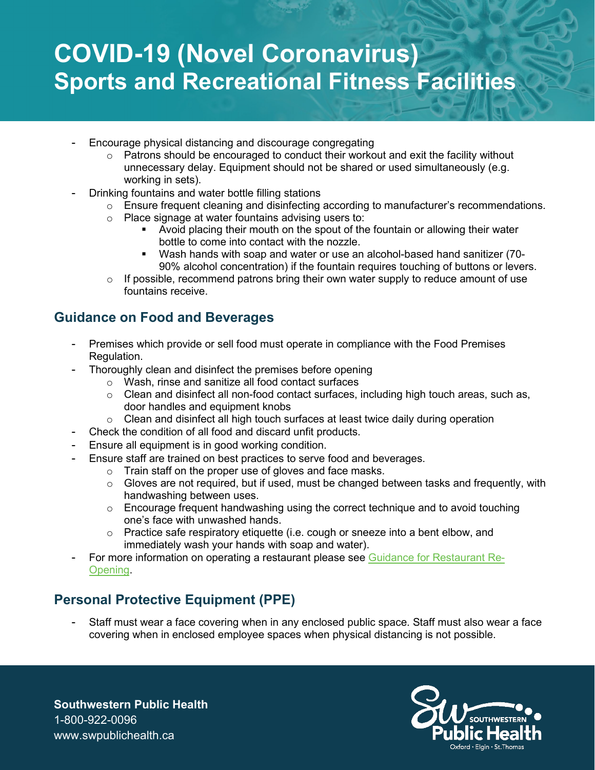- Encourage physical distancing and discourage congregating
	- $\circ$  Patrons should be encouraged to conduct their workout and exit the facility without unnecessary delay. Equipment should not be shared or used simultaneously (e.g. working in sets).
- Drinking fountains and water bottle filling stations
	- $\circ$  Ensure frequent cleaning and disinfecting according to manufacturer's recommendations.
	- o Place signage at water fountains advising users to:
		- Avoid placing their mouth on the spout of the fountain or allowing their water bottle to come into contact with the nozzle.
		- Wash hands with soap and water or use an alcohol-based hand sanitizer (70- 90% alcohol concentration) if the fountain requires touching of buttons or levers.
	- $\circ$  If possible, recommend patrons bring their own water supply to reduce amount of use fountains receive.

### **Guidance on Food and Beverages**

- Premises which provide or sell food must operate in compliance with the Food Premises Regulation.
- Thoroughly clean and disinfect the premises before opening
	- o Wash, rinse and sanitize all food contact surfaces
	- $\circ$  Clean and disinfect all non-food contact surfaces, including high touch areas, such as, door handles and equipment knobs
	- $\circ$  Clean and disinfect all high touch surfaces at least twice daily during operation
- Check the condition of all food and discard unfit products.
- Ensure all equipment is in good working condition.
- Ensure staff are trained on best practices to serve food and beverages.
	- o Train staff on the proper use of gloves and face masks.
	- $\circ$  Gloves are not required, but if used, must be changed between tasks and frequently, with handwashing between uses.
	- $\circ$  Encourage frequent handwashing using the correct technique and to avoid touching one's face with unwashed hands.
	- $\circ$  Practice safe respiratory etiquette (i.e. cough or sneeze into a bent elbow, and immediately wash your hands with soap and water).
- For more information on operating a restaurant please see [Guidance for Restaurant Re-](https://www.swpublichealth.ca/sites/default/files/covid19_gudiance_for_restaurants_reopening.pdf)[Opening.](https://www.swpublichealth.ca/sites/default/files/covid19_gudiance_for_restaurants_reopening.pdf)

### **Personal Protective Equipment (PPE)**

Staff must wear a face covering when in any enclosed public space. Staff must also wear a face covering when in enclosed employee spaces when physical distancing is not possible.